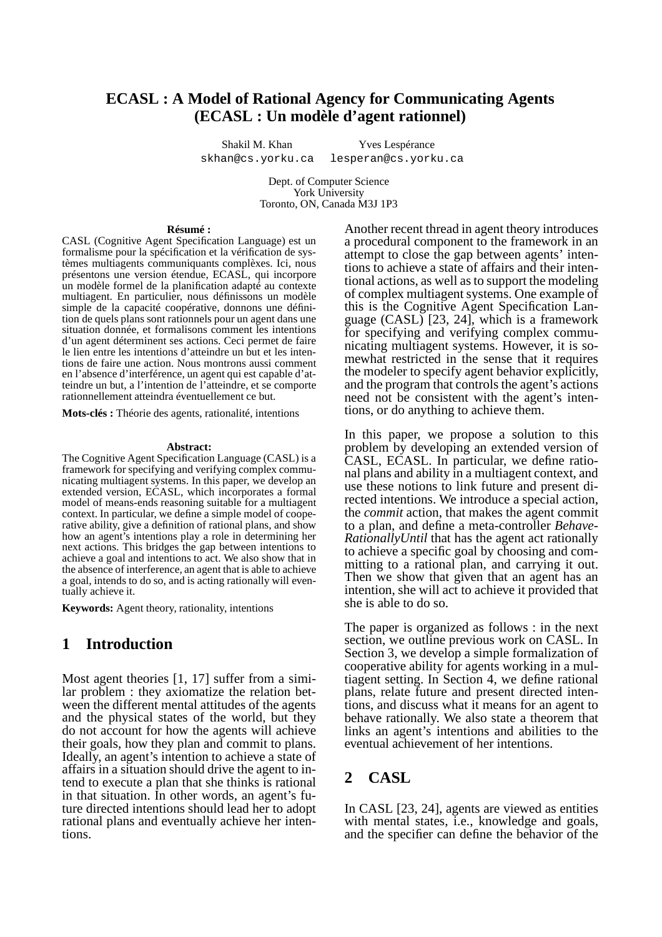# **ECASL : A Model of Rational Agency for Communicating Agents (ECASL : Un modèle d'agent rationnel)**

Shakil M. Khan skhan@cs.yorku.ca

Yves Lespérance lesperan@cs.yorku.ca

Dept. of Computer Science York University Toronto, ON, Canada M3J 1P3

#### **Résumé :**

CASL (Cognitive Agent Specification Language) est un formalisme pour la spécification et la vérification de systèmes multiagents communiquants complèxes. Ici, nous présentons une version étendue, ECASL, qui incorpore un modèle formel de la planification adapté au contexte multiagent. En particulier, nous définissons un modèle simple de la capacité coopérative, donnons une définition de quels plans sont rationnels pour un agent dans une situation donnée, et formalisons comment les intentions d'un agent déterminent ses actions. Ceci permet de faire le lien entre les intentions d'atteindre un but et les intentions de faire une action. Nous montrons aussi comment en l'absence d'interférence, un agent qui est capable d'atteindre un but, a l'intention de l'atteindre, et se comporte rationnellement atteindra éventuellement ce but.

**Mots-clés :** Théorie des agents, rationalité, intentions

#### **Abstract:**

The Cognitive Agent Specification Language (CASL) is a framework for specifying and verifying complex communicating multiagent systems. In this paper, we develop an extended version, ECASL, which incorporates a formal model of means-ends reasoning suitable for a multiagent context. In particular, we define a simple model of cooperative ability, give a definition of rational plans, and show how an agent's intentions play a role in determining her next actions. This bridges the gap between intentions to achieve a goal and intentions to act. We also show that in the absence of interference, an agent that is able to achieve a goal, intends to do so, and is acting rationally will eventually achieve it.

**Keywords:** Agent theory, rationality, intentions

## **1 Introduction**

Most agent theories [1, 17] suffer from a similar problem : they axiomatize the relation between the different mental attitudes of the agents and the physical states of the world, but they do not account for how the agents will achieve their goals, how they plan and commit to plans. Ideally, an agent's intention to achieve a state of affairs in a situation should drive the agent to intend to execute a plan that she thinks is rational in that situation. In other words, an agent's future directed intentions should lead her to adopt rational plans and eventually achieve her intentions.

Another recent thread in agent theory introduces a procedural component to the framework in an attempt to close the gap between agents' intentions to achieve a state of affairs and their intentional actions, as well as to support the modeling of complex multiagent systems. One example of this is the Cognitive Agent Specification Language (CASL) [23, 24], which is a framework for specifying and verifying complex communicating multiagent systems. However, it is somewhat restricted in the sense that it requires the modeler to specify agent behavior explicitly, and the program that controls the agent's actions need not be consistent with the agent's intentions, or do anything to achieve them.

In this paper, we propose a solution to this problem by developing an extended version of CASL, ECASL. In particular, we define rational plans and ability in a multiagent context, and use these notions to link future and present directed intentions. We introduce a special action, the *commit* action, that makes the agent commit to a plan, and define a meta-controller *Behave-RationallyUntil* that has the agent act rationally to achieve a specific goal by choosing and committing to a rational plan, and carrying it out. Then we show that given that an agent has an intention, she will act to achieve it provided that she is able to do so.

The paper is organized as follows : in the next section, we outline previous work on CASL. In Section 3, we develop a simple formalization of cooperative ability for agents working in a multiagent setting. In Section 4, we define rational plans, relate future and present directed intentions, and discuss what it means for an agent to behave rationally. We also state a theorem that links an agent's intentions and abilities to the eventual achievement of her intentions.

# **2 CASL**

In CASL [23, 24], agents are viewed as entities with mental states, i.e., knowledge and goals, and the specifier can define the behavior of the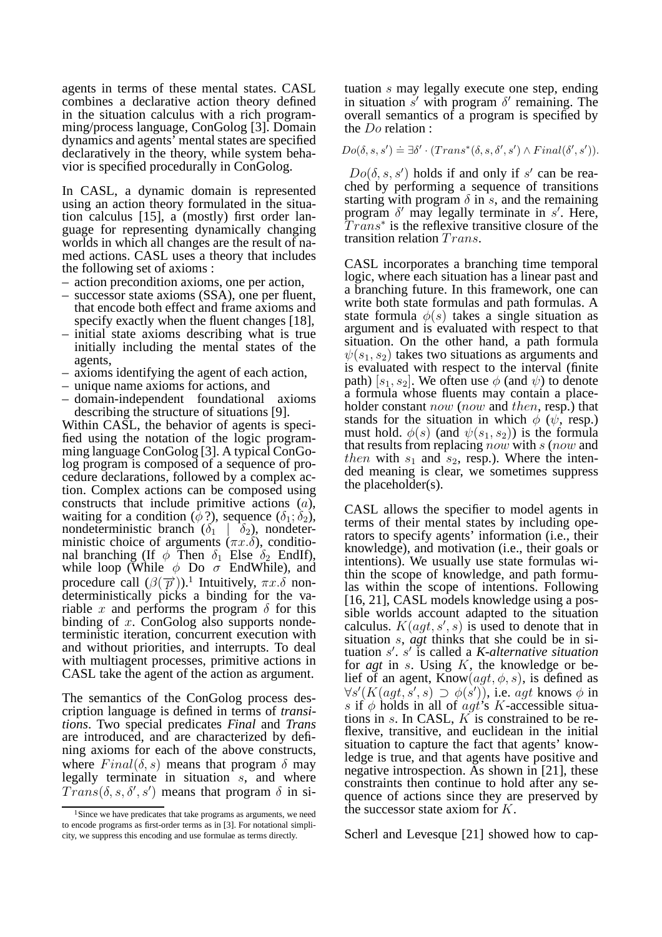agents in terms of these mental states. CASL combines a declarative action theory defined in the situation calculus with a rich programming/process language, ConGolog [3]. Domain dynamics and agents' mental states are specified declaratively in the theory, while system behavior is specified procedurally in ConGolog.

In CASL, a dynamic domain is represented using an action theory formulated in the situation calculus [15], a (mostly) first order language for representing dynamically changing worlds in which all changes are the result of named actions. CASL uses a theory that includes the following set of axioms :

- action precondition axioms, one per action,
- successor state axioms (SSA), one per fluent, that encode both effect and frame axioms and specify exactly when the fluent changes [18],
- initial state axioms describing what is true initially including the mental states of the agents,
- axioms identifying the agent of each action,
- unique name axioms for actions, and
- domain-independent foundational axioms describing the structure of situations [9].

Within CASL, the behavior of agents is specified using the notation of the logic programming language ConGolog [3]. A typical ConGolog program is composed of a sequence of procedure declarations, followed by a complex action. Complex actions can be composed using constructs that include primitive actions  $(a)$ , waiting for a condition ( $\phi$ ?), sequence ( $\delta_1$ ;  $\delta_2$ ), nondeterministic branch  $(\delta_1 | \delta_2)$ , nondeterministic choice of arguments  $(\pi x.\delta)$ , conditional branching (If  $\phi$  Then  $\delta_1$  Else  $\delta_2$  EndIf), while loop (While  $\phi$  Do  $\sigma$  EndWhile), and procedure call  $(\beta(\overrightarrow{p}))$ .<sup>1</sup> Intuitively,  $\pi x.\delta$  nondeterministically picks a binding for the variable x and performs the program  $\delta$  for this binding of  $x$ . ConGolog also supports nondeterministic iteration, concurrent execution with and without priorities, and interrupts. To deal with multiagent processes, primitive actions in CASL take the agent of the action as argument.

The semantics of the ConGolog process description language is defined in terms of *transitions*. Two special predicates *Final* and *Trans* are introduced, and are characterized by defining axioms for each of the above constructs, where  $Final(\delta, s)$  means that program  $\delta$  may legally terminate in situation s, and where  $Trans(\delta, s, \delta', s')$  means that program  $\delta$  in situation s may legally execute one step, ending in situation  $s'$  with program  $\delta'$  remaining. The overall semantics of a program is specified by the Do relation :

 $Do(\delta, s, s') \doteq \exists \delta' \cdot (Trans^*(\delta, s, \delta', s') \wedge Final(\delta', s')).$ 

 $Do(\delta, s, s')$  holds if and only if s' can be reached by performing a sequence of transitions starting with program  $\delta$  in s, and the remaining program  $\delta'$  may legally terminate in s'. Here,  $Trans<sup>*</sup>$  is the reflexive transitive closure of the transition relation Trans.

CASL incorporates a branching time temporal logic, where each situation has a linear past and a branching future. In this framework, one can write both state formulas and path formulas. A state formula  $\phi(s)$  takes a single situation as argument and is evaluated with respect to that situation. On the other hand, a path formula  $\psi(s_1, s_2)$  takes two situations as arguments and is evaluated with respect to the interval (finite path)  $[s_1, s_2]$ . We often use  $\phi$  (and  $\psi$ ) to denote a formula whose fluents may contain a placeholder constant *now* (*now* and *then*, resp.) that stands for the situation in which  $\phi$  ( $\psi$ , resp.) must hold.  $\phi(s)$  (and  $\psi(s_1, s_2)$ ) is the formula that results from replacing *now* with s (*now* and *then* with  $s_1$  and  $s_2$ , resp.). Where the intended meaning is clear, we sometimes suppress the placeholder(s).

CASL allows the specifier to model agents in terms of their mental states by including operators to specify agents' information (i.e., their knowledge), and motivation (i.e., their goals or intentions). We usually use state formulas within the scope of knowledge, and path formulas within the scope of intentions. Following [16, 21], CASL models knowledge using a possible worlds account adapted to the situation calculus.  $K(agt, s', s)$  is used to denote that in situation s, *agt* thinks that she could be in situation s 0 . s 0 is called a *K-alternative situation* for *agt* in s. Using K, the knowledge or belief of an agent, Know( $agt, \phi, s$ ), is defined as  $\forall s' (K(ag, s', s) \supset \phi(s'))$ , i.e. *agt* knows  $\phi$  in s if  $\phi$  holds in all of *agt's K*-accessible situations in s. In CASL,  $\overline{K}$  is constrained to be reflexive, transitive, and euclidean in the initial situation to capture the fact that agents' knowledge is true, and that agents have positive and negative introspection. As shown in [21], these constraints then continue to hold after any sequence of actions since they are preserved by the successor state axiom for  $K$ .

Scherl and Levesque [21] showed how to cap-

<sup>&</sup>lt;sup>1</sup>Since we have predicates that take programs as arguments, we need to encode programs as first-order terms as in [3]. For notational simplicity, we suppress this encoding and use formulae as terms directly.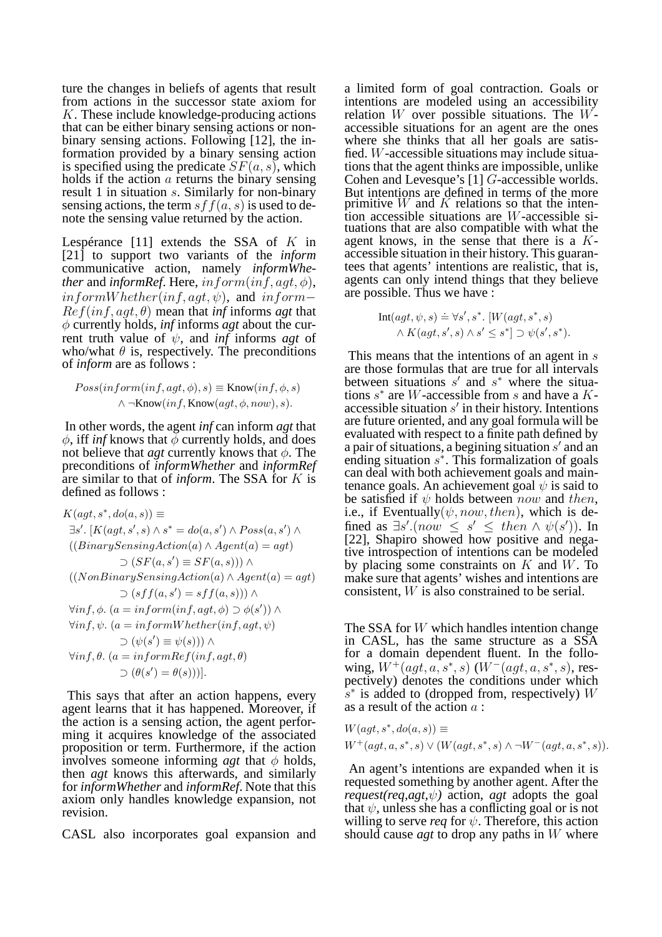ture the changes in beliefs of agents that result from actions in the successor state axiom for K. These include knowledge-producing actions that can be either binary sensing actions or nonbinary sensing actions. Following [12], the information provided by a binary sensing action is specified using the predicate  $SF(a, s)$ , which holds if the action  $\alpha$  returns the binary sensing result 1 in situation s. Similarly for non-binary sensing actions, the term  $s f f(a, s)$  is used to denote the sensing value returned by the action.

Lespérance [11] extends the SSA of  $K$  in [21] to support two variants of the *inform* communicative action, namely *informWhether* and *informRef.* Here,  $\inf \{ or m (inf, agt, \phi) \}$ ,  $informationWhether(inf,agt, \psi)$ , and  $inform Ref(inf, aqt, \theta)$  mean that *inf* informs *agt* that φ currently holds, *inf* informs *agt* about the current truth value of ψ, and *inf* informs *agt* of who/what  $\theta$  is, respectively. The preconditions of *inform* are as follows :

$$
Poss(inform(inf,agt, \phi), s) \equiv \text{Know}(inf, \phi, s)
$$

$$
\land \neg \text{Know}(inf, \text{Know}(agt, \phi, now), s).
$$

In other words, the agent *inf* can inform *agt* that  $\phi$ , iff *inf* knows that  $\phi$  currently holds, and does not believe that *agt* currently knows that  $\phi$ . The preconditions of *informWhether* and *informRef* are similar to that of *inform*. The SSA for K is defined as follows :

 $K(agt, s^*, do(a, s)) \equiv$  $\exists s'. \ [K(agt, s', s) \wedge s^* = do(a, s') \wedge Poss(a, s') \wedge$  $((BinarySensingAction(a) \wedge Agent(a) = agt)$  $\supset (SF(a, s') \equiv SF(a, s))) \wedge$  $((NonBinarySensingAction(a) \wedge Agent(a) = agt)$  $\supset (sff(a, s') = sff(a, s))) \wedge$  $\forall inf, \phi \ldotp (a = inform(inf,agt, \phi) \supset \phi(s')) \land$  $\forall inf, \psi.$  (a = informWhether(inf, agt,  $\psi$ )  $\supset (\psi(s') \equiv \psi(s))) \wedge$  $\forall inf, \theta$ .  $(a = informRef(inf,agt, \theta))$  $\supset (\theta(s') = \theta(s))]$ .

This says that after an action happens, every agent learns that it has happened. Moreover, if the action is a sensing action, the agent performing it acquires knowledge of the associated proposition or term. Furthermore, if the action involves someone informing *agt* that  $\phi$  holds, then *agt* knows this afterwards, and similarly for *informWhether* and *informRef*. Note that this axiom only handles knowledge expansion, not revision.

CASL also incorporates goal expansion and

a limited form of goal contraction. Goals or intentions are modeled using an accessibility relation  $W$  over possible situations. The  $W$ accessible situations for an agent are the ones where she thinks that all her goals are satisfied. W-accessible situations may include situations that the agent thinks are impossible, unlike Cohen and Levesque's [1] G-accessible worlds. But intentions are defined in terms of the more primitive  $W$  and  $K$  relations so that the intention accessible situations are W-accessible situations that are also compatible with what the agent knows, in the sense that there is a  $K$ accessible situation in their history. This guarantees that agents' intentions are realistic, that is, agents can only intend things that they believe are possible. Thus we have :

$$
Int(agt, \psi, s) \doteq \forall s', s^*. [W(agt, s^*, s)
$$

$$
\wedge K(agt, s', s) \wedge s' \leq s^*] \supset \psi(s', s^*).
$$

This means that the intentions of an agent in s are those formulas that are true for all intervals between situations  $s'$  and  $s^*$  where the situations  $s^*$  are W-accessible from s and have a  $K$  $rac{1}{2}$  accessible situation  $s'$  in their history. Intentions are future oriented, and any goal formula will be evaluated with respect to a finite path defined by a pair of situations, a begining situation  $s'$  and an  $\lim_{s \to \infty} \frac{d}{s}$  is structured in  $s^*$ . This formalization of goals can deal with both achievement goals and maintenance goals. An achievement goal  $\psi$  is said to be satisfied if  $\psi$  holds between now and then, i.e., if Eventually( $\psi$ , now, then), which is defined as  $\exists s'.(now \leq s' \leq then \land \psi(s'))$ . In [22]. Shapiro showed how positive and negative introspection of intentions can be modeled by placing some constraints on  $K$  and  $W$ . To make sure that agents' wishes and intentions are consistent, W is also constrained to be serial.

The SSA for W which handles intention change in CASL, has the same structure as a SSA for a domain dependent fluent. In the following,  $W^+(agt, a, s^*, s)$  ( $W^-(agt, a, s^*, s)$ , respectively) denotes the conditions under which  $s^*$  is added to (dropped from, respectively) W as a result of the action a :

$$
W(agt, s^*, do(a, s)) \equiv
$$
  
 
$$
W^+(agt, a, s^*, s) \lor (W(agt, s^*, s) \land \neg W^-(agt, a, s^*, s)).
$$

An agent's intentions are expanded when it is requested something by another agent. After the *request(req,agt,* $\psi$ *)* action, *agt* adopts the goal that  $\psi$ , unless she has a conflicting goal or is not willing to serve *req* for  $\psi$ . Therefore, this action should cause *agt* to drop any paths in W where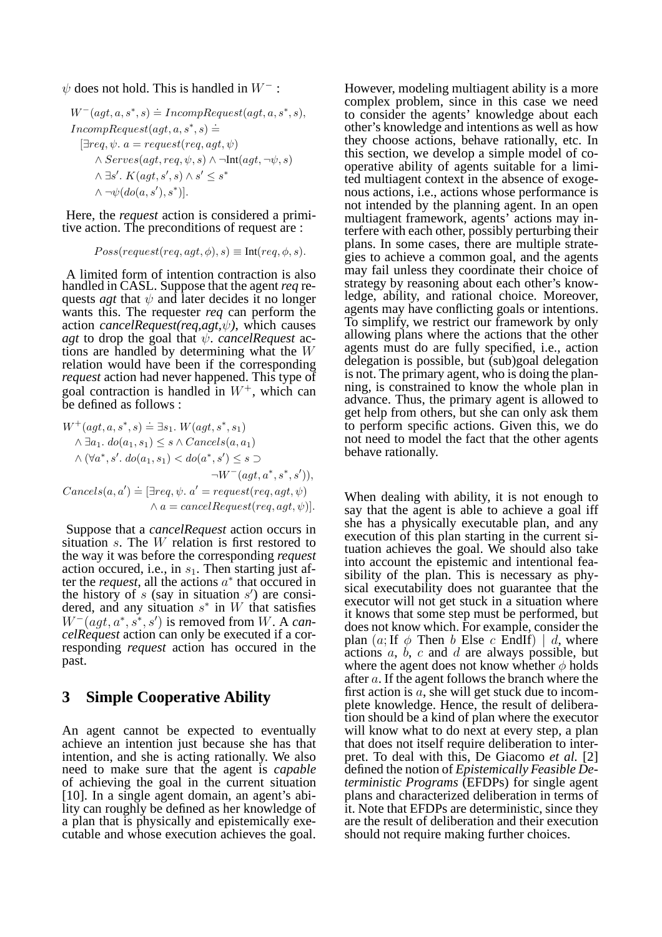$\psi$  does not hold. This is handled in  $W^-$ :

$$
W^-(agt, a, s^*, s) \doteq IncompRequest(agt, a, s^*, s),
$$
  
 
$$
IncompRequest(agt, a, s^*, s) \doteq
$$
  
\n
$$
[\exists req, \psi. a = request(req,agt, \psi)
$$
  
\n
$$
\land \text{Serves}(agt, req, \psi, s) \land \neg \text{Int}(agt, \neg \psi, s)
$$
  
\n
$$
\land \exists s'. K(agt, s', s) \land s' \leq s^*
$$
  
\n
$$
\land \neg \psi(do(a, s'), s^*)].
$$

Here, the *request* action is considered a primitive action. The preconditions of request are :

 $Poss(request(req, agt, \phi), s) \equiv Int(req, \phi, s).$ 

A limited form of intention contraction is also handled in CASL. Suppose that the agent *req* requests *agt* that  $\psi$  and later decides it no longer wants this. The requester *req* can perform the action *cancelRequest(req,agt,*ψ*)*, which causes *agt* to drop the goal that  $\psi$ . *cancelRequest* actions are handled by determining what the W relation would have been if the corresponding *request* action had never happened. This type of goal contraction is handled in  $W^+$ , which can be defined as follows :

$$
W^+(agt, a, s^*, s) \doteq \exists s_1. W(agt, s^*, s_1)
$$
  
\n
$$
\land \exists a_1. do(a_1, s_1) \le s \land Cancels(a, a_1)
$$
  
\n
$$
\land (\forall a^*, s'. do(a_1, s_1) < do(a^*, s') \le s \supset
$$
  
\n
$$
\neg W^-(agt, a^*, s^*, s')),
$$
  
\n
$$
Cancels(a, a') \doteq [\exists reg, \psi, a' = request(req, agt, \psi)]
$$
  
\n
$$
\land a = cancelRequest(req, agt, \psi)].
$$

Suppose that a *cancelRequest* action occurs in situation s. The W relation is first restored to the way it was before the corresponding *request* action occured, i.e., in  $s<sub>1</sub>$ . Then starting just after the *request*, all the actions  $a^*$  that occured in the history of s (say in situation  $s'$ ) are considered, and any situation  $s^*$  in W that satisfies  $W^-(agt, a^*, s^*, s')$  is removed from W. A *cancelRequest* action can only be executed if a corresponding *request* action has occured in the past.

# **3 Simple Cooperative Ability**

An agent cannot be expected to eventually achieve an intention just because she has that intention, and she is acting rationally. We also need to make sure that the agent is *capable* of achieving the goal in the current situation [10]. In a single agent domain, an agent's ability can roughly be defined as her knowledge of a plan that is physically and epistemically executable and whose execution achieves the goal. However, modeling multiagent ability is a more complex problem, since in this case we need to consider the agents' knowledge about each other's knowledge and intentions as well as how they choose actions, behave rationally, etc. In this section, we develop a simple model of cooperative ability of agents suitable for a limited multiagent context in the absence of exogenous actions, i.e., actions whose performance is not intended by the planning agent. In an open multiagent framework, agents' actions may interfere with each other, possibly perturbing their plans. In some cases, there are multiple strategies to achieve a common goal, and the agents may fail unless they coordinate their choice of strategy by reasoning about each other's knowledge, ability, and rational choice. Moreover, agents may have conflicting goals or intentions. To simplify, we restrict our framework by only allowing plans where the actions that the other agents must do are fully specified, i.e., action delegation is possible, but (sub)goal delegation is not. The primary agent, who is doing the planning, is constrained to know the whole plan in advance. Thus, the primary agent is allowed to get help from others, but she can only ask them to perform specific actions. Given this, we do not need to model the fact that the other agents behave rationally.

When dealing with ability, it is not enough to say that the agent is able to achieve a goal iff she has a physically executable plan, and any execution of this plan starting in the current situation achieves the goal. We should also take into account the epistemic and intentional feasibility of the plan. This is necessary as physical executability does not guarantee that the executor will not get stuck in a situation where it knows that some step must be performed, but does not know which. For example, consider the plan  $(a; \text{If } \phi \text{ Then } b \text{ Else } c \text{ EndIf} \mid d \text{, where}$ actions  $a, b, c$  and  $d$  are always possible, but where the agent does not know whether  $\phi$  holds after a. If the agent follows the branch where the first action is  $\alpha$ , she will get stuck due to incomplete knowledge. Hence, the result of deliberation should be a kind of plan where the executor will know what to do next at every step, a plan that does not itself require deliberation to interpret. To deal with this, De Giacomo *et al.* [2] defined the notion of *Epistemically Feasible Deterministic Programs* (EFDPs) for single agent plans and characterized deliberation in terms of it. Note that EFDPs are deterministic, since they are the result of deliberation and their execution should not require making further choices.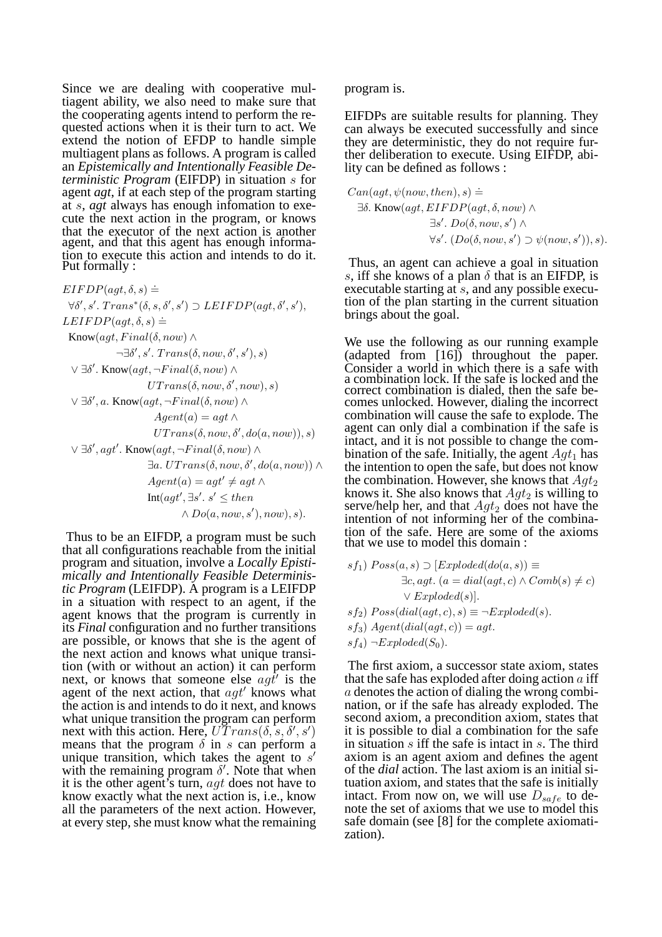Since we are dealing with cooperative multiagent ability, we also need to make sure that the cooperating agents intend to perform the requested actions when it is their turn to act. We extend the notion of EFDP to handle simple multiagent plans as follows. A program is called an *Epistemically and Intentionally Feasible Deterministic Program* (EIFDP) in situation s for agent *agt*, if at each step of the program starting at s, *agt* always has enough infomation to execute the next action in the program, or knows that the executor of the next action is another agent, and that this agent has enough information to execute this action and intends to do it. Put formally :

 $EIFDP(agt, \delta, s) \doteq$  $\forall \delta', s'. Trans^*(\delta, s, \delta', s') \supset LEIFDP(agt, \delta', s'),$  $LEIFDP(agt, \delta, s) =$ Know $(agt, Final(\delta, now) \wedge$  $\neg \exists \delta', s'. Trans(\delta, now, \delta', s'), s)$  $\vee \exists \delta'$ . Know $(agt, \neg Final(\delta, now) \wedge$  $UTrans(\delta, now, \delta', now), s)$  $\vee \exists \delta', a$ . Know $(agt, \neg Final(\delta, now) \wedge )$  $Agent(a) = aqt \wedge$  $UTrans(\delta, now, \delta', do(a, now)), s)$  $\vee \exists \delta', agt'$ . Know $(agt, \neg Final(\delta, now) \wedge$  $\exists a. UTrans(\delta, now, \delta', do(a, now)) \wedge$  $Agent(a) = agt' \neq agt \wedge$ Int $(agt', \exists s'. s' \leq then$  $\wedge Do(a, now, s'), now), s).$ 

Thus to be an EIFDP, a program must be such that all configurations reachable from the initial program and situation, involve a *Locally Epistimically and Intentionally Feasible Deterministic Program* (LEIFDP). A program is a LEIFDP in a situation with respect to an agent, if the agent knows that the program is currently in its *Final* configuration and no further transitions are possible, or knows that she is the agent of the next action and knows what unique transition (with or without an action) it can perform next, or knows that someone else  $agt'$  is the agent of the next action, that  $aqt'$  knows what the action is and intends to do it next, and knows what unique transition the program can perform next with this action. Here,  $UTrans(\delta, s, \delta', s')$ means that the program  $\delta$  in s can perform a unique transition, which takes the agent to  $s'$ with the remaining program  $\delta'$ . Note that when it is the other agent's turn,  $aqt$  does not have to know exactly what the next action is, i.e., know all the parameters of the next action. However, at every step, she must know what the remaining program is.

EIFDPs are suitable results for planning. They can always be executed successfully and since they are deterministic, they do not require further deliberation to execute. Using EIFDP, ability can be defined as follows :

$$
Can(agt, \psi(now, then), s) \doteq
$$
  
\n
$$
\exists \delta. \text{Know}(agt, EIFDP(agt, \delta, now) \land
$$
  
\n
$$
\exists s'. \text{ } Do(\delta, now, s') \land
$$
  
\n
$$
\forall s'. \text{ } (Do(\delta, now, s') \supset \psi(now, s')), s).
$$

Thus, an agent can achieve a goal in situation s, iff she knows of a plan  $\delta$  that is an EIFDP, is executable starting at  $\overline{s}$ , and any possible execution of the plan starting in the current situation brings about the goal.

We use the following as our running example (adapted from [16]) throughout the paper. Consider a world in which there is a safe with a combination lock. If the safe is locked and the correct combination is dialed, then the safe becomes unlocked. However, dialing the incorrect combination will cause the safe to explode. The agent can only dial a combination if the safe is intact, and it is not possible to change the combination of the safe. Initially, the agent  $Aqt_1$  has the intention to open the safe, but does not know the combination. However, she knows that  $Aqt_2$ knows it. She also knows that  $Aqt_2$  is willing to serve/help her, and that  $Agt_2$  does not have the intention of not informing her of the combination of the safe. Here are some of the axioms that we use to model this domain :

- sf<sub>1</sub>)  $Poss(a, s) \supset [Exploaded(do(a, s))] \equiv$  $\exists c, aqt.$   $(a = dial(aqt, c) \wedge Comb(s) \neq c)$  $\vee$  *Exploded*(s).
- $sf_2)$   $Poss(dial(aqt, c), s) \equiv \neg Exploded(s).$
- $sf_3)$  Agent(dial(agt, c)) = agt.
- $sf_4) \neg Exploded(S_0).$

The first axiom, a successor state axiom, states that the safe has exploded after doing action  $\alpha$  iff a denotes the action of dialing the wrong combination, or if the safe has already exploded. The second axiom, a precondition axiom, states that it is possible to dial a combination for the safe in situation  $s$  iff the safe is intact in  $s$ . The third axiom is an agent axiom and defines the agent of the *dial* action. The last axiom is an initial situation axiom, and states that the safe is initially intact. From now on, we will use  $D_{safe}$  to denote the set of axioms that we use to model this safe domain (see [8] for the complete axiomatization).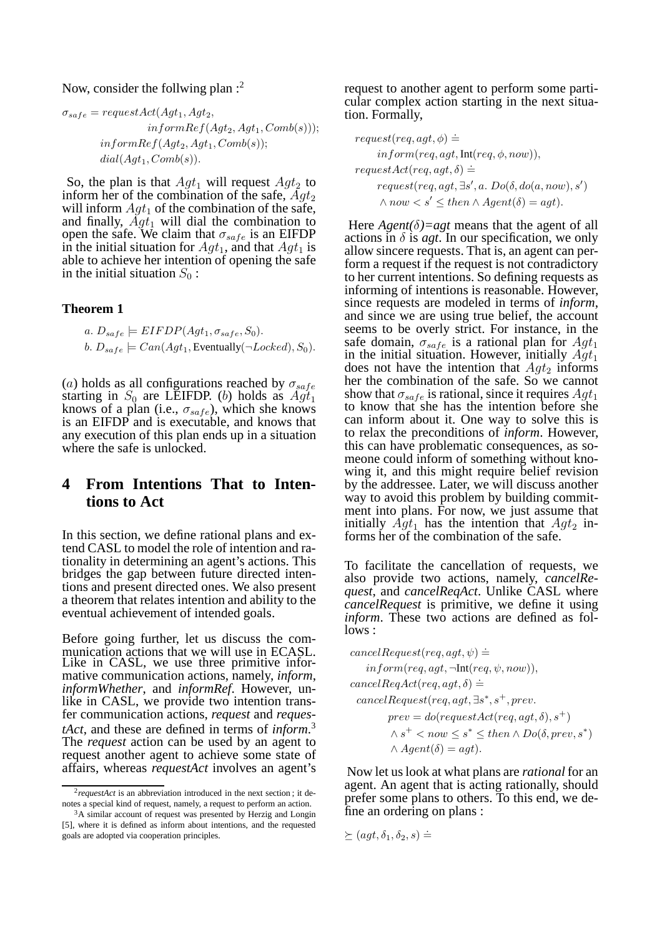Now, consider the follwing plan :<sup>2</sup>

$$
\sigma_{safe} = requestAct(Agt_1, Agt_2, informRef(Agt_2, Agt_1, Comb(s))); informRef(Agt_2, Agt_1, Comb(s)); diaI(Agt_1, Comb(s)).
$$

So, the plan is that  $Agt_1$  will request  $Agt_2$  to inform her of the combination of the safe,  $Aqt_2$ will inform  $Aqt_1$  of the combination of the safe, and finally,  $Agt_1$  will dial the combination to open the safe. We claim that  $\sigma_{safe}$  is an EIFDP in the initial situation for  $Agt_1$ , and that  $Agt_1$  is able to achieve her intention of opening the safe in the initial situation  $S_0$ :

### **Theorem 1**

a. 
$$
D_{safe} \models EIFDP(Agt_1, \sigma_{safe}, S_0)
$$
.  
b.  $D_{safe} \models Can(Agt_1, Eventually(\neg Locked), S_0)$ .

(a) holds as all configurations reached by  $\sigma_{safe}$ starting in  $S_0$  are LEIFDP. (b) holds as  $Agt_1$ knows of a plan (i.e.,  $\sigma_{safe}$ ), which she knows is an EIFDP and is executable, and knows that any execution of this plan ends up in a situation where the safe is unlocked.

# **4 From Intentions That to Intentions to Act**

In this section, we define rational plans and extend CASL to model the role of intention and rationality in determining an agent's actions. This bridges the gap between future directed intentions and present directed ones. We also present a theorem that relates intention and ability to the eventual achievement of intended goals.

Before going further, let us discuss the communication actions that we will use in ECASL. Like in CASL, we use three primitive informative communication actions, namely, *inform*, *informWhether*, and *informRef*. However, unlike in CASL, we provide two intention transfer communication actions, *request* and *requestAct*, and these are defined in terms of *inform*. 3 The *request* action can be used by an agent to request another agent to achieve some state of affairs, whereas *requestAct* involves an agent's

request to another agent to perform some particular complex action starting in the next situation. Formally,

$$
request(req,agt, φ) \doteq \n inform(req,agt, Int(req, φ, now)),
$$
\n
$$
requestAct(req,agt, δ) \doteq \n request(req,agt, ∃s', a. Do(δ, do(a, now), s') \n ∧ now < s' ≤ then ∧ Agent(δ) = agt).
$$

Here  $Agent(\delta) =agt$  means that the agent of all actions in  $\delta$  is *agt*. In our specification, we only allow sincere requests. That is, an agent can perform a request if the request is not contradictory to her current intentions. So defining requests as informing of intentions is reasonable. However, since requests are modeled in terms of *inform*, and since we are using true belief, the account seems to be overly strict. For instance, in the safe domain,  $\sigma_{safe}$  is a rational plan for  $Agt_1$ in the initial situation. However, initially  $Agt_1$ does not have the intention that  $Agt_2$  informs her the combination of the safe. So we cannot show that  $\sigma_{safe}$  is rational, since it requires  $Agt_1$ to know that she has the intention before she can inform about it. One way to solve this is to relax the preconditions of *inform*. However, this can have problematic consequences, as someone could inform of something without knowing it, and this might require belief revision by the addressee. Later, we will discuss another way to avoid this problem by building commitment into plans. For now, we just assume that initially  $Aqt_1$  has the intention that  $Aqt_2$  informs her of the combination of the safe.

To facilitate the cancellation of requests, we also provide two actions, namely, *cancelRequest*, and *cancelReqAct*. Unlike CASL where *cancelRequest* is primitive, we define it using *inform*. These two actions are defined as follows :

$$
cancelRequest(req, agt, \psi) \doteq
$$
  
\n
$$
inform(req, agt, \neg Int(req, \psi, now)),
$$
  
\n
$$
cancelRequest(req, agt, \delta) \doteq
$$
  
\n
$$
cancelRequest(req, agt, \exists s^*, s^+, prev.
$$
  
\n
$$
prev = do(requestAct(req, agt, \delta), s^+)
$$
  
\n
$$
\land s^+ < now \leq s^* \leq then \land Do(\delta, prev, s^*)
$$
  
\n
$$
\land Agent(\delta) = agt).
$$

Now let us look at what plans are *rational* for an agent. An agent that is acting rationally, should prefer some plans to others. To this end, we define an ordering on plans :

```
\succeq (agt, \delta_1, \delta_2, s) \doteq
```
<sup>&</sup>lt;sup>2</sup>*requestAct* is an abbreviation introduced in the next section; it denotes a special kind of request, namely, a request to perform an action.

<sup>3</sup>A similar account of request was presented by Herzig and Longin [5], where it is defined as inform about intentions, and the requested goals are adopted via cooperation principles.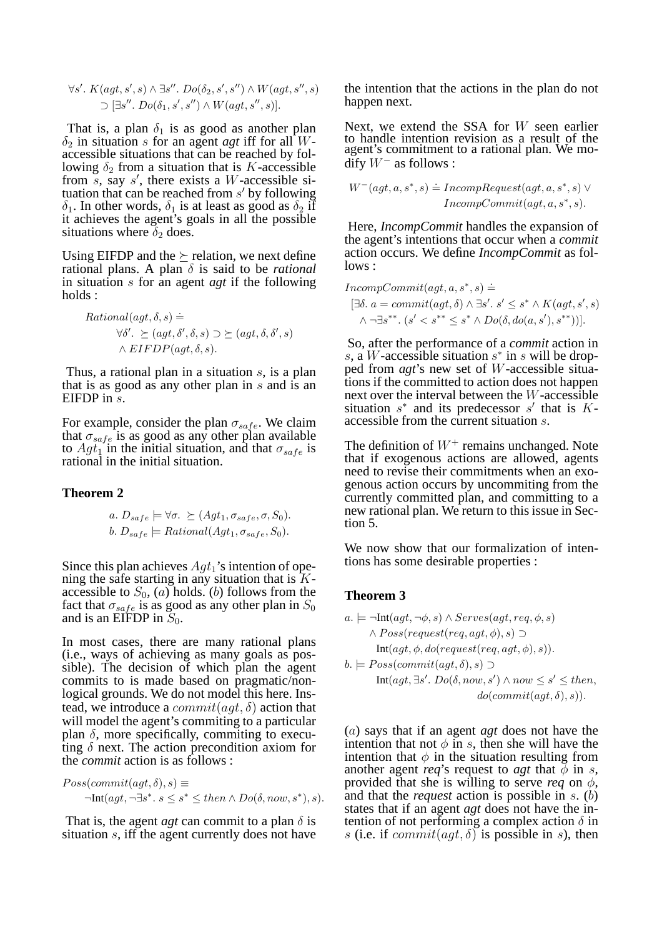$$
\forall s'. K(agt, s', s) \land \exists s''. Do(\delta_2, s', s'') \land W(agt, s'', s)
$$
  
\n
$$
\supset [\exists s''. Do(\delta_1, s', s'') \land W(agt, s'', s)].
$$

That is, a plan  $\delta_1$  is as good as another plan  $\delta_2$  in situation s for an agent *agt* iff for all Waccessible situations that can be reached by following  $\delta_2$  from a situation that is K-accessible from  $s$ , say  $s'$ , there exists a W-accessible situation that can be reached from  $s'$  by following  $\delta_1$ . In other words,  $\delta_1$  is at least as good as  $\delta_2$  if it achieves the agent's goals in all the possible situations where  $\delta_2$  does.

Using EIFDP and the  $\succeq$  relation, we next define rational plans. A plan  $\delta$  is said to be *rational* in situation s for an agent *agt* if the following holds :

$$
Rational(agt, \delta, s) \doteq
$$
  
\n
$$
\forall \delta'. \ge (agt, \delta', \delta, s) \supset \ge (agt, \delta, \delta', s)
$$
  
\n
$$
\wedge EIFDP(agt, \delta, s).
$$

Thus, a rational plan in a situation  $s$ , is a plan that is as good as any other plan in s and is an EIFDP in  $\check{s}$ .

For example, consider the plan  $\sigma_{safe}$ . We claim that  $\sigma_{safe}$  is as good as any other plan available to  $Agt_1$  in the initial situation, and that  $\sigma_{safe}$  is rational in the initial situation.

#### **Theorem 2**

a. 
$$
D_{safe} \models \forall \sigma. \ge (Agt_1, \sigma_{safe}, \sigma, S_0).
$$
  
b.  $D_{safe} \models Rational(Agt_1, \sigma_{safe}, S_0).$ 

Since this plan achieves  $Agt_1$ 's intention of opening the safe starting in any situation that is  $K$ accessible to  $S_0$ , (*a*) holds. (*b*) follows from the fact that  $\sigma_{safe}$  is as good as any other plan in  $S_0$ and is an EIFDP in  $S_0$ .

In most cases, there are many rational plans (i.e., ways of achieving as many goals as possible). The decision of which plan the agent commits to is made based on pragmatic/nonlogical grounds. We do not model this here. Instead, we introduce a  $commit(aqt, \delta)$  action that will model the agent's commiting to a particular plan  $\delta$ , more specifically, commiting to executing  $\delta$  next. The action precondition axiom for the *commit* action is as follows :

$$
Poss(commit(agt, \delta), s) \equiv
$$
  
 
$$
\neg Int(agt, \neg \exists s^* \cdot s \le s^* \le then \land Do(\delta, now, s^*), s).
$$

That is, the agent *agt* can commit to a plan  $\delta$  is situation s, iff the agent currently does not have the intention that the actions in the plan do not happen next.

Next, we extend the SSA for  $W$  seen earlier to handle intention revision as a result of the agent's commitment to a rational plan. We modify  $W^-$  as follows :

$$
W^-(agt, a, s^*, s) \doteq IncompRequest(agt, a, s^*, s) \veeIncompCommit(agt, a, s^*, s).
$$

Here, *IncompCommit* handles the expansion of the agent's intentions that occur when a *commit* action occurs. We define *IncompCommit* as follows :

$$
IncompCommit(agt, a, s^*, s) =
$$
  

$$
[\exists \delta. a = commit(agt, \delta) \land \exists s'. s' \le s^* \land K(agt, s', s)
$$
  

$$
\land \neg \exists s^{**}. (s' < s^{**} \le s^* \land Do(\delta, do(a, s'), s^{**}))].
$$

So, after the performance of a *commit* action in s, a W-accessible situation  $s^*$  in s will be dropped from *agt*'s new set of W-accessible situations if the committed to action does not happen next over the interval between the  $W$ -accessible situation  $s^*$  and its predecessor  $s'$  that is  $K$ accessible from the current situation s.

The definition of  $W^+$  remains unchanged. Note that if exogenous actions are allowed, agents need to revise their commitments when an exogenous action occurs by uncommiting from the currently committed plan, and committing to a new rational plan. We return to this issue in Section 5.

We now show that our formalization of intentions has some desirable properties :

### **Theorem 3**

$$
a. \models \neg \text{Int}(agt, \neg \phi, s) \land Serves(agt, req, \phi, s)
$$
  
\n
$$
\land Poss(request(req,agt, \phi), s) \supset
$$
  
\n
$$
\text{Int}(agt, \phi, do(request(req,agt, \phi), s)).
$$
  
\n
$$
b. \models Poss(commit(agt, \delta), s) \supset
$$
  
\n
$$
\text{Int}(agt, \exists s'. Do(\delta, now, s') \land now \le s' \le then,
$$
  
\n
$$
do(commit(agt, \delta), s)).
$$

(a) says that if an agent *agt* does not have the intention that not  $\phi$  in s, then she will have the intention that  $\phi$  in the situation resulting from another agent *req*'s request to *agt* that  $\phi$  in *s*, provided that she is willing to serve *req* on  $\phi$ , and that the *request* action is possible in s. (b) states that if an agent *agt* does not have the intention of not performing a complex action  $\delta$  in s (i.e. if  $commit(aqt, \delta)$  is possible in s), then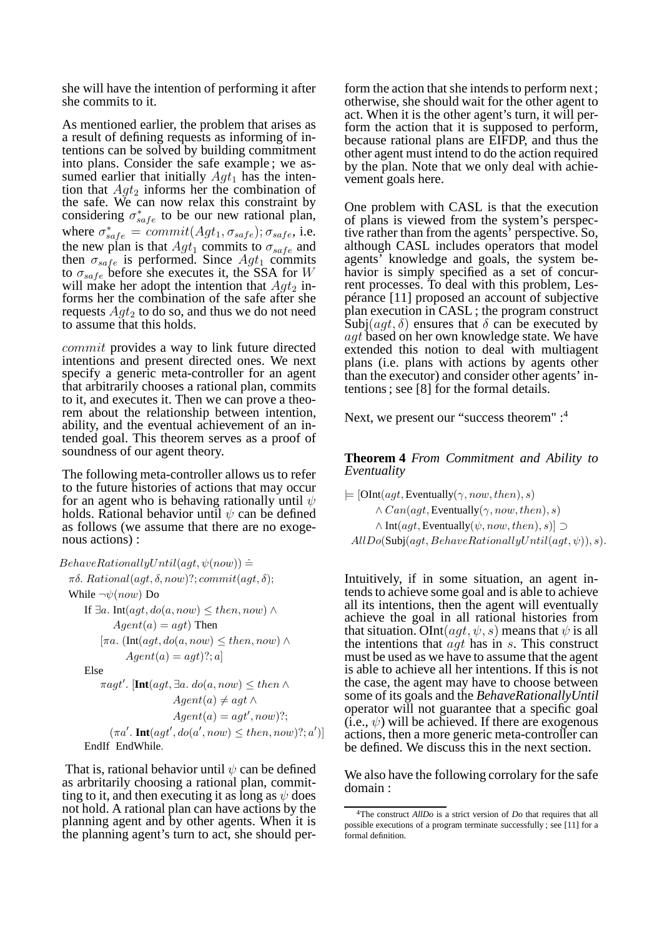she will have the intention of performing it after she commits to it.

As mentioned earlier, the problem that arises as a result of defining requests as informing of intentions can be solved by building commitment into plans. Consider the safe example ; we assumed earlier that initially  $Aqt_1$  has the intention that  $Aqt_2$  informs her the combination of the safe. We can now relax this constraint by considering  $\sigma_{safe}^*$  to be our new rational plan, where  $\sigma_{safe}^* = commit(Agt_1, \sigma_{safe})$ ;  $\sigma_{safe}$ , i.e. the new plan is that  $Agt_1$  commits to  $\sigma_{safe}$  and then  $\sigma_{safe}$  is performed. Since  $Agt_1$  commits to  $\sigma_{safe}$  before she executes it, the SSA for W will make her adopt the intention that  $Agt_2$  informs her the combination of the safe after she requests  $Aqt_2$  to do so, and thus we do not need to assume that this holds.

commit provides a way to link future directed intentions and present directed ones. We next specify a generic meta-controller for an agent that arbitrarily chooses a rational plan, commits to it, and executes it. Then we can prove a theorem about the relationship between intention, ability, and the eventual achievement of an intended goal. This theorem serves as a proof of soundness of our agent theory.

The following meta-controller allows us to refer to the future histories of actions that may occur for an agent who is behaving rationally until  $\psi$ holds. Rational behavior until  $\psi$  can be defined as follows (we assume that there are no exogenous actions) :

 $Behaviorally Until(aqt, \psi(now)) \doteq$ 

πδ. Rational(agt, δ, now)?; commit(agt, δ); While  $\neg\psi(now)$  Do If  $\exists a$ . Int $(agt, do(a, now) \leq then, now) \wedge$  $Agent(a) = agt)$  Then  $[\pi a. (\text{Int}(agt, do(a, now) \leq then, now) \wedge$  $Agent(a) = aqt$ ?; a] Else  $\pi a g t'$ . **[Int**( $a g t$ ,  $\exists a$ . do( $a, now$ )  $\leq$  then  $\wedge$  $Agent(a) \neq aqt \wedge$  $Agent(a) = agt', now$ ?;  $(\pi a'. Int(agt', do(a', now) \leq then, now)?; a')$ EndIf EndWhile.

That is, rational behavior until  $\psi$  can be defined as arbritarily choosing a rational plan, committing to it, and then executing it as long as  $\psi$  does not hold. A rational plan can have actions by the planning agent and by other agents. When it is the planning agent's turn to act, she should perform the action that she intends to perform next ; otherwise, she should wait for the other agent to act. When it is the other agent's turn, it will perform the action that it is supposed to perform, because rational plans are EIFDP, and thus the other agent must intend to do the action required by the plan. Note that we only deal with achievement goals here.

One problem with CASL is that the execution of plans is viewed from the system's perspective rather than from the agents' perspective. So, although CASL includes operators that model agents' knowledge and goals, the system behavior is simply specified as a set of concurrent processes. To deal with this problem, Lespérance [11] proposed an account of subjective plan execution in CASL ; the program construct Subj $(aqt, \delta)$  ensures that  $\delta$  can be executed by agt based on her own knowledge state. We have extended this notion to deal with multiagent plans (i.e. plans with actions by agents other than the executor) and consider other agents' intentions ; see [8] for the formal details.

Next, we present our "success theorem" :<sup>4</sup>

**Theorem 4** *From Commitment and Ability to Eventuality*

 $\models$  [OInt(*agt*, Eventually( $\gamma$ , *now*, *then*), *s*)  $\land Can(agt, Eventually(\gamma, now, then), s)$  $\wedge$  Int(*agt*, Eventually( $\psi$ , *now*, *then*), *s*)]  $\supset$  $AllDo(Subj(agt, BehaviorRationallyUntil(agt, \psi)), s).$ 

Intuitively, if in some situation, an agent intends to achieve some goal and is able to achieve all its intentions, then the agent will eventually achieve the goal in all rational histories from that situation. OInt $(agt, \psi, s)$  means that  $\psi$  is all the intentions that  $aqt$  has in s. This construct must be used as we have to assume that the agent is able to achieve all her intentions. If this is not the case, the agent may have to choose between some of its goals and the *BehaveRationallyUntil* operator will not guarantee that a specific goal (i.e.,  $\psi$ ) will be achieved. If there are exogenous actions, then a more generic meta-controller can be defined. We discuss this in the next section.

We also have the following corrolary for the safe domain :

<sup>4</sup>The construct *AllDo* is a strict version of *Do* that requires that all possible executions of a program terminate successfully ; see [11] for a formal definition.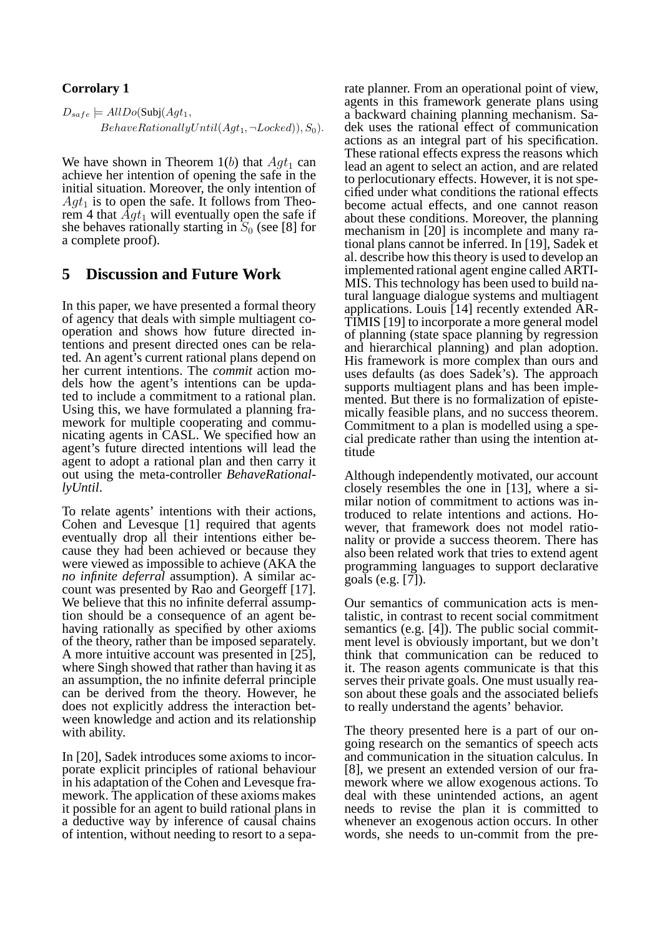### **Corrolary 1**

$$
D_{safe} \models AllDo(Subj(Agt_1,BehaveRationallyUntil(Agt_1, \neg Locked)), S_0).
$$

We have shown in Theorem 1(b) that  $Agt_1$  can achieve her intention of opening the safe in the initial situation. Moreover, the only intention of  $Aqt_1$  is to open the safe. It follows from Theorem 4 that  $Agt_1$  will eventually open the safe if she behaves rationally starting in  $S_0$  (see [8] for a complete proof).

## **5 Discussion and Future Work**

In this paper, we have presented a formal theory of agency that deals with simple multiagent cooperation and shows how future directed intentions and present directed ones can be related. An agent's current rational plans depend on her current intentions. The *commit* action models how the agent's intentions can be updated to include a commitment to a rational plan. Using this, we have formulated a planning framework for multiple cooperating and communicating agents in CASL. We specified how an agent's future directed intentions will lead the agent to adopt a rational plan and then carry it out using the meta-controller *BehaveRationallyUntil*.

To relate agents' intentions with their actions, Cohen and Levesque [1] required that agents eventually drop all their intentions either because they had been achieved or because they were viewed as impossible to achieve (AKA the *no infinite deferral* assumption). A similar account was presented by Rao and Georgeff [17]. We believe that this no infinite deferral assumption should be a consequence of an agent behaving rationally as specified by other axioms of the theory, rather than be imposed separately. A more intuitive account was presented in [25], where Singh showed that rather than having it as an assumption, the no infinite deferral principle can be derived from the theory. However, he does not explicitly address the interaction between knowledge and action and its relationship with ability.

In [20], Sadek introduces some axioms to incorporate explicit principles of rational behaviour in his adaptation of the Cohen and Levesque framework. The application of these axioms makes it possible for an agent to build rational plans in a deductive way by inference of causal chains of intention, without needing to resort to a separate planner. From an operational point of view, agents in this framework generate plans using a backward chaining planning mechanism. Sadek uses the rational effect of communication actions as an integral part of his specification. These rational effects express the reasons which lead an agent to select an action, and are related to perlocutionary effects. However, it is not specified under what conditions the rational effects become actual effects, and one cannot reason about these conditions. Moreover, the planning mechanism in [20] is incomplete and many rational plans cannot be inferred. In [19], Sadek et al. describe how this theory is used to develop an implemented rational agent engine called ARTI-MIS. This technology has been used to build natural language dialogue systems and multiagent applications. Louis [14] recently extended AR-TIMIS [19] to incorporate a more general model of planning (state space planning by regression and hierarchical planning) and plan adoption. His framework is more complex than ours and uses defaults (as does Sadek's). The approach supports multiagent plans and has been implemented. But there is no formalization of epistemically feasible plans, and no success theorem. Commitment to a plan is modelled using a special predicate rather than using the intention attitude

Although independently motivated, our account closely resembles the one in [13], where a similar notion of commitment to actions was introduced to relate intentions and actions. However, that framework does not model rationality or provide a success theorem. There has also been related work that tries to extend agent programming languages to support declarative  $\overline{2}$ oals (e.g. [7]).

Our semantics of communication acts is mentalistic, in contrast to recent social commitment semantics (e.g. [4]). The public social commitment level is obviously important, but we don't think that communication can be reduced to it. The reason agents communicate is that this serves their private goals. One must usually reason about these goals and the associated beliefs to really understand the agents' behavior.

The theory presented here is a part of our ongoing research on the semantics of speech acts and communication in the situation calculus. In [8], we present an extended version of our framework where we allow exogenous actions. To deal with these unintended actions, an agent needs to revise the plan it is committed to whenever an exogenous action occurs. In other words, she needs to un-commit from the pre